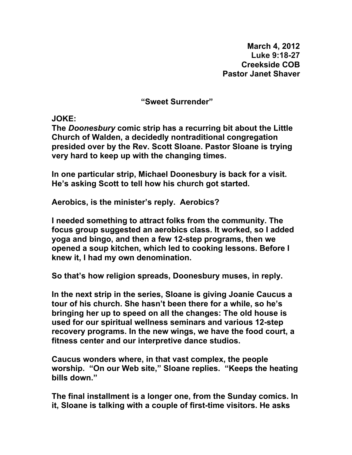**March 4, 2012 Luke 9:18-27 Creekside COB Pastor Janet Shaver** 

**"Sweet Surrender"** 

**JOKE:** 

**The** *Doonesbury* **comic strip has a recurring bit about the Little Church of Walden, a decidedly nontraditional congregation presided over by the Rev. Scott Sloane. Pastor Sloane is trying very hard to keep up with the changing times.** 

**In one particular strip, Michael Doonesbury is back for a visit. He's asking Scott to tell how his church got started.** 

**Aerobics, is the minister's reply. Aerobics?** 

**I needed something to attract folks from the community. The focus group suggested an aerobics class. It worked, so I added yoga and bingo, and then a few 12-step programs, then we opened a soup kitchen, which led to cooking lessons. Before I knew it, I had my own denomination.** 

**So that's how religion spreads, Doonesbury muses, in reply.** 

**In the next strip in the series, Sloane is giving Joanie Caucus a tour of his church. She hasn't been there for a while, so he's bringing her up to speed on all the changes: The old house is used for our spiritual wellness seminars and various 12-step recovery programs. In the new wings, we have the food court, a fitness center and our interpretive dance studios.** 

**Caucus wonders where, in that vast complex, the people worship. "On our Web site," Sloane replies. "Keeps the heating bills down."** 

**The final installment is a longer one, from the Sunday comics. In it, Sloane is talking with a couple of first-time visitors. He asks**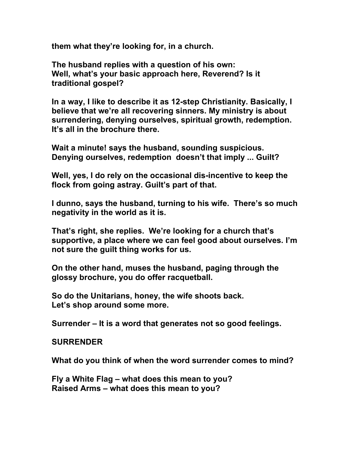**them what they're looking for, in a church.** 

**The husband replies with a question of his own: Well, what's your basic approach here, Reverend? Is it traditional gospel?** 

**In a way, I like to describe it as 12-step Christianity. Basically, I believe that we're all recovering sinners. My ministry is about surrendering, denying ourselves, spiritual growth, redemption. It's all in the brochure there.** 

**Wait a minute! says the husband, sounding suspicious. Denying ourselves, redemption doesn't that imply ... Guilt?** 

**Well, yes, I do rely on the occasional dis-incentive to keep the flock from going astray. Guilt's part of that.** 

**I dunno, says the husband, turning to his wife. There's so much negativity in the world as it is.** 

**That's right, she replies. We're looking for a church that's supportive, a place where we can feel good about ourselves. I'm not sure the guilt thing works for us.** 

**On the other hand, muses the husband, paging through the glossy brochure, you do offer racquetball.** 

**So do the Unitarians, honey, the wife shoots back. Let's shop around some more.** 

**Surrender – It is a word that generates not so good feelings.** 

## **SURRENDER**

**What do you think of when the word surrender comes to mind?** 

**Fly a White Flag – what does this mean to you? Raised Arms – what does this mean to you?**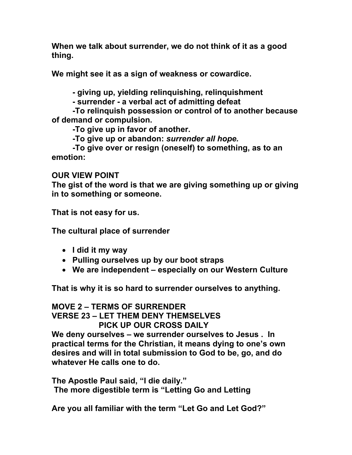**When we talk about surrender, we do not think of it as a good thing.** 

**We might see it as a sign of weakness or cowardice.** 

 **- giving up, yielding relinquishing, relinquishment** 

 **- surrender - a verbal act of admitting defeat** 

 **-To relinquish possession or control of to another because of demand or compulsion.** 

 **-To give up in favor of another.** 

 **-To give up or abandon:** *surrender all hope.*

 **-To give over or resign (oneself) to something, as to an emotion:** 

## **OUR VIEW POINT**

**The gist of the word is that we are giving something up or giving in to something or someone.** 

**That is not easy for us.** 

**The cultural place of surrender** 

- **I did it my way**
- **Pulling ourselves up by our boot straps**
- **We are independent especially on our Western Culture**

**That is why it is so hard to surrender ourselves to anything.** 

## **MOVE 2 – TERMS OF SURRENDER VERSE 23 – LET THEM DENY THEMSELVES PICK UP OUR CROSS DAILY**

**We deny ourselves – we surrender ourselves to Jesus . In practical terms for the Christian, it means dying to one's own desires and will in total submission to God to be, go, and do whatever He calls one to do.** 

**The Apostle Paul said, "I die daily." The more digestible term is "Letting Go and Letting** 

**Are you all familiar with the term "Let Go and Let God?"**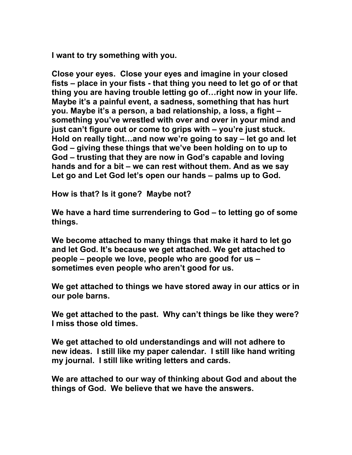**I want to try something with you.** 

**Close your eyes. Close your eyes and imagine in your closed fists – place in your fists - that thing you need to let go of or that thing you are having trouble letting go of…right now in your life. Maybe it's a painful event, a sadness, something that has hurt you. Maybe it's a person, a bad relationship, a loss, a fight – something you've wrestled with over and over in your mind and just can't figure out or come to grips with – you're just stuck. Hold on really tight…and now we're going to say – let go and let God – giving these things that we've been holding on to up to God – trusting that they are now in God's capable and loving hands and for a bit – we can rest without them. And as we say Let go and Let God let's open our hands – palms up to God.** 

**How is that? Is it gone? Maybe not?** 

**We have a hard time surrendering to God – to letting go of some things.** 

**We become attached to many things that make it hard to let go and let God. It's because we get attached. We get attached to people – people we love, people who are good for us – sometimes even people who aren't good for us.** 

**We get attached to things we have stored away in our attics or in our pole barns.** 

**We get attached to the past. Why can't things be like they were? I miss those old times.** 

**We get attached to old understandings and will not adhere to new ideas. I still like my paper calendar. I still like hand writing my journal. I still like writing letters and cards.** 

**We are attached to our way of thinking about God and about the things of God. We believe that we have the answers.**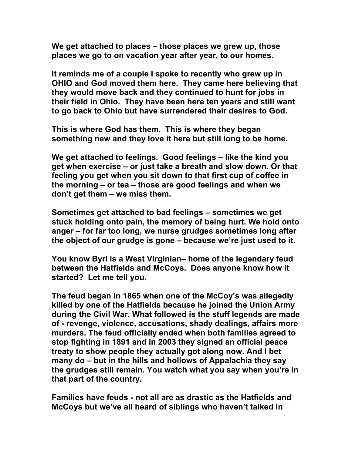**We get attached to places – those places we grew up, those places we go to on vacation year after year, to our homes.** 

**It reminds me of a couple I spoke to recently who grew up in OHIO and God moved them here. They came here believing that they would move back and they continued to hunt for jobs in their field in Ohio. They have been here ten years and still want to go back to Ohio but have surrendered their desires to God.** 

**This is where God has them. This is where they began something new and they love it here but still long to be home.** 

**We get attached to feelings. Good feelings – like the kind you get when exercise – or just take a breath and slow down. Or that feeling you get when you sit down to that first cup of coffee in the morning – or tea – those are good feelings and when we don't get them – we miss them.** 

**Sometimes get attached to bad feelings – sometimes we get stuck holding onto pain, the memory of being hurt. We hold onto anger – for far too long, we nurse grudges sometimes long after the object of our grudge is gone – because we're just used to it.** 

**You know Byrl is a West Virginian– home of the legendary feud between the Hatfields and McCoys. Does anyone know how it started? Let me tell you.** 

**The feud began in 1865 when one of the McCoy's was allegedly killed by one of the Hatfields because he joined the Union Army during the Civil War. What followed is the stuff legends are made of - revenge, violence, accusations, shady dealings, affairs more murders. The feud officially ended when both families agreed to stop fighting in 1891 and in 2003 they signed an official peace treaty to show people they actually got along now. And I bet many do – but in the hills and hollows of Appalachia they say the grudges still remain. You watch what you say when you're in that part of the country.** 

**Families have feuds - not all are as drastic as the Hatfields and McCoys but we've all heard of siblings who haven't talked in**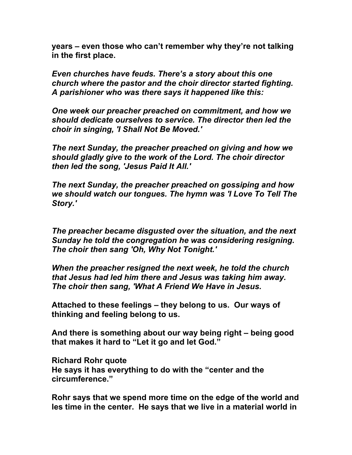**years – even those who can't remember why they're not talking in the first place.** 

*Even churches have feuds. There's a story about this one church where the pastor and the choir director started fighting. A parishioner who was there says it happened like this:* 

*One week our preacher preached on commitment, and how we should dedicate ourselves to service. The director then led the choir in singing, 'I Shall Not Be Moved.'* 

*The next Sunday, the preacher preached on giving and how we should gladly give to the work of the Lord. The choir director then led the song, 'Jesus Paid It All.'* 

*The next Sunday, the preacher preached on gossiping and how we should watch our tongues. The hymn was 'I Love To Tell The Story.'* 

*The preacher became disgusted over the situation, and the next Sunday he told the congregation he was considering resigning. The choir then sang 'Oh, Why Not Tonight.'* 

*When the preacher resigned the next week, he told the church that Jesus had led him there and Jesus was taking him away. The choir then sang, 'What A Friend We Have in Jesus.* 

**Attached to these feelings – they belong to us. Our ways of thinking and feeling belong to us.** 

**And there is something about our way being right – being good that makes it hard to "Let it go and let God."** 

**Richard Rohr quote He says it has everything to do with the "center and the circumference."** 

**Rohr says that we spend more time on the edge of the world and les time in the center. He says that we live in a material world in**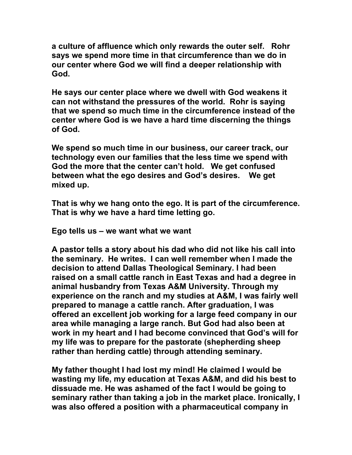**a culture of affluence which only rewards the outer self. Rohr says we spend more time in that circumference than we do in our center where God we will find a deeper relationship with God.** 

**He says our center place where we dwell with God weakens it can not withstand the pressures of the world. Rohr is saying that we spend so much time in the circumference instead of the center where God is we have a hard time discerning the things of God.** 

**We spend so much time in our business, our career track, our technology even our families that the less time we spend with God the more that the center can't hold. We get confused between what the ego desires and God's desires. We get mixed up.** 

**That is why we hang onto the ego. It is part of the circumference. That is why we have a hard time letting go.** 

**Ego tells us – we want what we want** 

**A pastor tells a story about his dad who did not like his call into the seminary. He writes. I can well remember when I made the decision to attend Dallas Theological Seminary. I had been raised on a small cattle ranch in East Texas and had a degree in animal husbandry from Texas A&M University. Through my experience on the ranch and my studies at A&M, I was fairly well prepared to manage a cattle ranch. After graduation, I was offered an excellent job working for a large feed company in our area while managing a large ranch. But God had also been at work in my heart and I had become convinced that God's will for my life was to prepare for the pastorate (shepherding sheep rather than herding cattle) through attending seminary.** 

**My father thought I had lost my mind! He claimed I would be wasting my life, my education at Texas A&M, and did his best to dissuade me. He was ashamed of the fact I would be going to seminary rather than taking a job in the market place. Ironically, I was also offered a position with a pharmaceutical company in**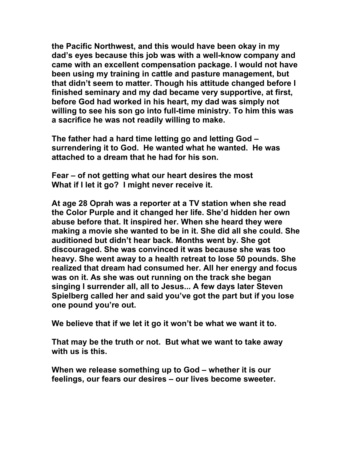**the Pacific Northwest, and this would have been okay in my dad's eyes because this job was with a well-know company and came with an excellent compensation package. I would not have been using my training in cattle and pasture management, but that didn't seem to matter. Though his attitude changed before I finished seminary and my dad became very supportive, at first, before God had worked in his heart, my dad was simply not willing to see his son go into full-time ministry. To him this was a sacrifice he was not readily willing to make.** 

**The father had a hard time letting go and letting God – surrendering it to God. He wanted what he wanted. He was attached to a dream that he had for his son.** 

**Fear – of not getting what our heart desires the most What if I let it go? I might never receive it.** 

**At age 28 Oprah was a reporter at a TV station when she read the Color Purple and it changed her life. She'd hidden her own abuse before that. It inspired her. When she heard they were making a movie she wanted to be in it. She did all she could. She auditioned but didn't hear back. Months went by. She got discouraged. She was convinced it was because she was too heavy. She went away to a health retreat to lose 50 pounds. She realized that dream had consumed her. All her energy and focus was on it. As she was out running on the track she began singing I surrender all, all to Jesus... A few days later Steven Spielberg called her and said you've got the part but if you lose one pound you're out.** 

**We believe that if we let it go it won't be what we want it to.** 

**That may be the truth or not. But what we want to take away with us is this.** 

**When we release something up to God – whether it is our feelings, our fears our desires – our lives become sweeter.**